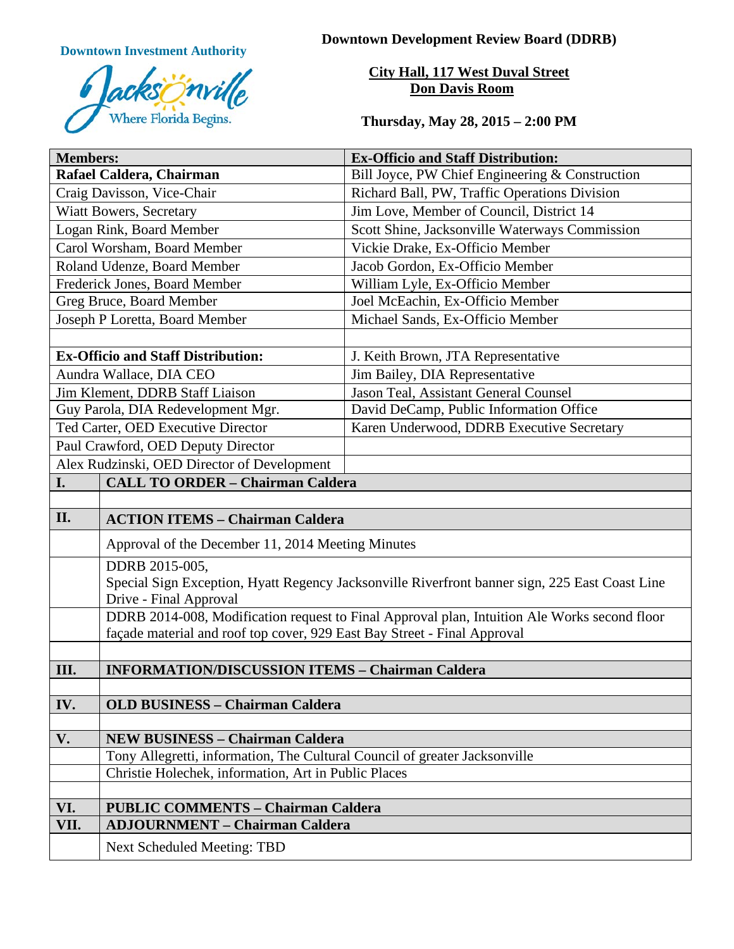

**Downtown Investment Authority Downtown Development Review Board (DDRB)** 

**City Hall, 117 West Duval Street Don Davis Room**

**Thursday, May 28, 2015 – 2:00 PM**

| <b>Members:</b>                             |                                                                                                                          | <b>Ex-Officio and Staff Distribution:</b>       |
|---------------------------------------------|--------------------------------------------------------------------------------------------------------------------------|-------------------------------------------------|
| Rafael Caldera, Chairman                    |                                                                                                                          | Bill Joyce, PW Chief Engineering & Construction |
| Craig Davisson, Vice-Chair                  |                                                                                                                          | Richard Ball, PW, Traffic Operations Division   |
| Wiatt Bowers, Secretary                     |                                                                                                                          | Jim Love, Member of Council, District 14        |
| Logan Rink, Board Member                    |                                                                                                                          | Scott Shine, Jacksonville Waterways Commission  |
| Carol Worsham, Board Member                 |                                                                                                                          | Vickie Drake, Ex-Officio Member                 |
| Roland Udenze, Board Member                 |                                                                                                                          | Jacob Gordon, Ex-Officio Member                 |
| Frederick Jones, Board Member               |                                                                                                                          | William Lyle, Ex-Officio Member                 |
| Greg Bruce, Board Member                    |                                                                                                                          | Joel McEachin, Ex-Officio Member                |
| Joseph P Loretta, Board Member              |                                                                                                                          | Michael Sands, Ex-Officio Member                |
|                                             |                                                                                                                          |                                                 |
| <b>Ex-Officio and Staff Distribution:</b>   |                                                                                                                          | J. Keith Brown, JTA Representative              |
| Aundra Wallace, DIA CEO                     |                                                                                                                          | Jim Bailey, DIA Representative                  |
| Jim Klement, DDRB Staff Liaison             |                                                                                                                          | Jason Teal, Assistant General Counsel           |
| Guy Parola, DIA Redevelopment Mgr.          |                                                                                                                          | David DeCamp, Public Information Office         |
| Ted Carter, OED Executive Director          |                                                                                                                          | Karen Underwood, DDRB Executive Secretary       |
| Paul Crawford, OED Deputy Director          |                                                                                                                          |                                                 |
| Alex Rudzinski, OED Director of Development |                                                                                                                          |                                                 |
| I.                                          | <b>CALL TO ORDER - Chairman Caldera</b>                                                                                  |                                                 |
|                                             |                                                                                                                          |                                                 |
| II.                                         | <b>ACTION ITEMS - Chairman Caldera</b>                                                                                   |                                                 |
|                                             | Approval of the December 11, 2014 Meeting Minutes                                                                        |                                                 |
|                                             | DDRB 2015-005,                                                                                                           |                                                 |
|                                             | Special Sign Exception, Hyatt Regency Jacksonville Riverfront banner sign, 225 East Coast Line<br>Drive - Final Approval |                                                 |
|                                             | DDRB 2014-008, Modification request to Final Approval plan, Intuition Ale Works second floor                             |                                                 |
|                                             | façade material and roof top cover, 929 East Bay Street - Final Approval                                                 |                                                 |
|                                             |                                                                                                                          |                                                 |
| III.                                        | <b>INFORMATION/DISCUSSION ITEMS - Chairman Caldera</b>                                                                   |                                                 |
|                                             |                                                                                                                          |                                                 |
| IV.                                         | <b>OLD BUSINESS - Chairman Caldera</b>                                                                                   |                                                 |
|                                             |                                                                                                                          |                                                 |
| V.                                          | <b>NEW BUSINESS - Chairman Caldera</b>                                                                                   |                                                 |
|                                             | Tony Allegretti, information, The Cultural Council of greater Jacksonville                                               |                                                 |
|                                             | Christie Holechek, information, Art in Public Places                                                                     |                                                 |
|                                             |                                                                                                                          |                                                 |
| VI.                                         | <b>PUBLIC COMMENTS - Chairman Caldera</b>                                                                                |                                                 |
| VII.                                        | <b>ADJOURNMENT - Chairman Caldera</b>                                                                                    |                                                 |
|                                             | <b>Next Scheduled Meeting: TBD</b>                                                                                       |                                                 |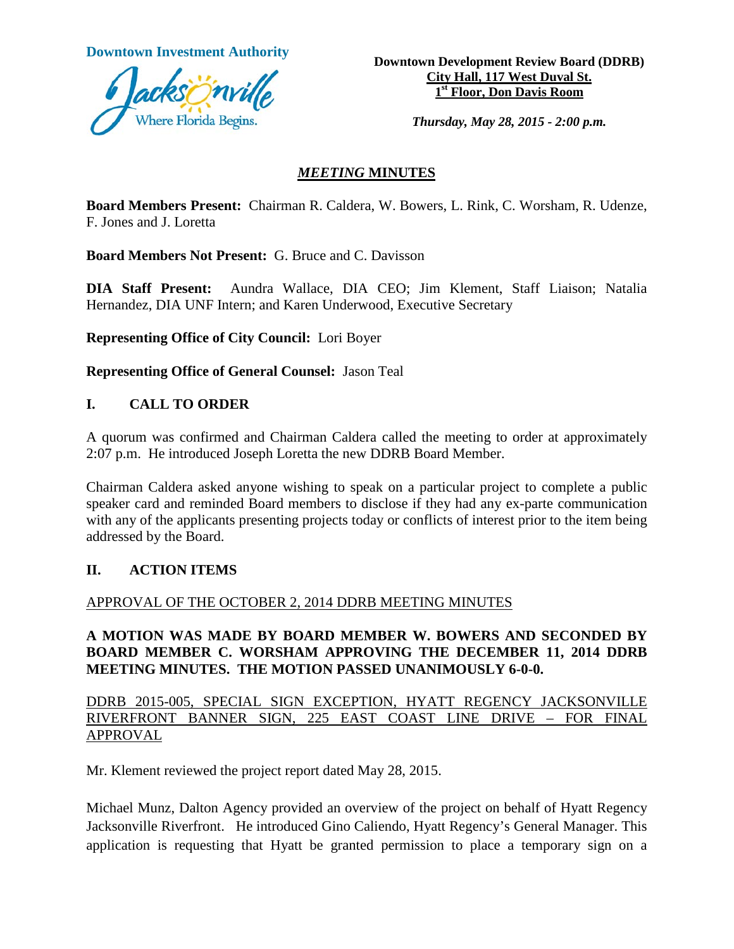

**Downtown Investment Authority Downtown Development Review Board (DDRB) City Hall, 117 West Duval St. 1st Floor, Don Davis Room**

*Thursday, May 28, 2015 - 2:00 p.m.*

#### *MEETING* **MINUTES**

**Board Members Present:** Chairman R. Caldera, W. Bowers, L. Rink, C. Worsham, R. Udenze, F. Jones and J. Loretta

**Board Members Not Present:** G. Bruce and C. Davisson

**DIA Staff Present:** Aundra Wallace, DIA CEO; Jim Klement, Staff Liaison; Natalia Hernandez, DIA UNF Intern; and Karen Underwood, Executive Secretary

**Representing Office of City Council:** Lori Boyer

**Representing Office of General Counsel:** Jason Teal

#### **I. CALL TO ORDER**

A quorum was confirmed and Chairman Caldera called the meeting to order at approximately 2:07 p.m. He introduced Joseph Loretta the new DDRB Board Member.

Chairman Caldera asked anyone wishing to speak on a particular project to complete a public speaker card and reminded Board members to disclose if they had any ex-parte communication with any of the applicants presenting projects today or conflicts of interest prior to the item being addressed by the Board.

#### **II. ACTION ITEMS**

#### APPROVAL OF THE OCTOBER 2, 2014 DDRB MEETING MINUTES

#### **A MOTION WAS MADE BY BOARD MEMBER W. BOWERS AND SECONDED BY BOARD MEMBER C. WORSHAM APPROVING THE DECEMBER 11, 2014 DDRB MEETING MINUTES. THE MOTION PASSED UNANIMOUSLY 6-0-0.**

DDRB 2015-005, SPECIAL SIGN EXCEPTION, HYATT REGENCY JACKSONVILLE RIVERFRONT BANNER SIGN, 225 EAST COAST LINE DRIVE – FOR FINAL APPROVAL

Mr. Klement reviewed the project report dated May 28, 2015.

Michael Munz, Dalton Agency provided an overview of the project on behalf of Hyatt Regency Jacksonville Riverfront. He introduced Gino Caliendo, Hyatt Regency's General Manager. This application is requesting that Hyatt be granted permission to place a temporary sign on a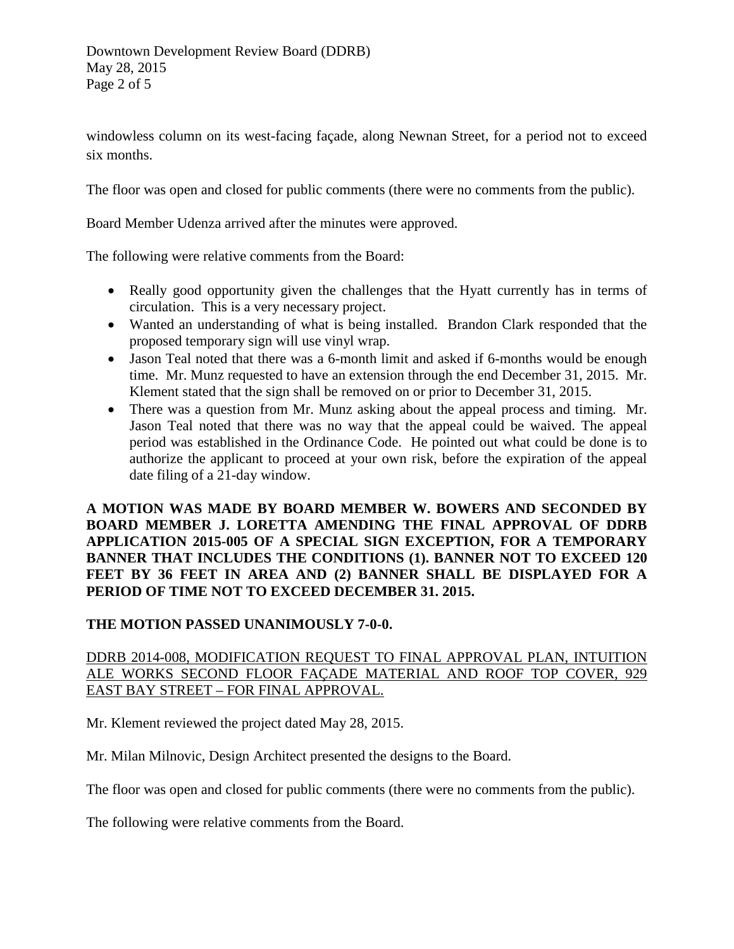windowless column on its west-facing façade, along Newnan Street, for a period not to exceed six months.

The floor was open and closed for public comments (there were no comments from the public).

Board Member Udenza arrived after the minutes were approved.

The following were relative comments from the Board:

- Really good opportunity given the challenges that the Hyatt currently has in terms of circulation. This is a very necessary project.
- Wanted an understanding of what is being installed. Brandon Clark responded that the proposed temporary sign will use vinyl wrap.
- Jason Teal noted that there was a 6-month limit and asked if 6-months would be enough time. Mr. Munz requested to have an extension through the end December 31, 2015. Mr. Klement stated that the sign shall be removed on or prior to December 31, 2015.
- There was a question from Mr. Munz asking about the appeal process and timing. Mr. Jason Teal noted that there was no way that the appeal could be waived. The appeal period was established in the Ordinance Code. He pointed out what could be done is to authorize the applicant to proceed at your own risk, before the expiration of the appeal date filing of a 21-day window.

**A MOTION WAS MADE BY BOARD MEMBER W. BOWERS AND SECONDED BY BOARD MEMBER J. LORETTA AMENDING THE FINAL APPROVAL OF DDRB APPLICATION 2015-005 OF A SPECIAL SIGN EXCEPTION, FOR A TEMPORARY BANNER THAT INCLUDES THE CONDITIONS (1). BANNER NOT TO EXCEED 120 FEET BY 36 FEET IN AREA AND (2) BANNER SHALL BE DISPLAYED FOR A PERIOD OF TIME NOT TO EXCEED DECEMBER 31. 2015.** 

## **THE MOTION PASSED UNANIMOUSLY 7-0-0.**

# DDRB 2014-008, MODIFICATION REQUEST TO FINAL APPROVAL PLAN, INTUITION ALE WORKS SECOND FLOOR FAÇADE MATERIAL AND ROOF TOP COVER, 929 EAST BAY STREET – FOR FINAL APPROVAL.

Mr. Klement reviewed the project dated May 28, 2015.

Mr. Milan Milnovic, Design Architect presented the designs to the Board.

The floor was open and closed for public comments (there were no comments from the public).

The following were relative comments from the Board.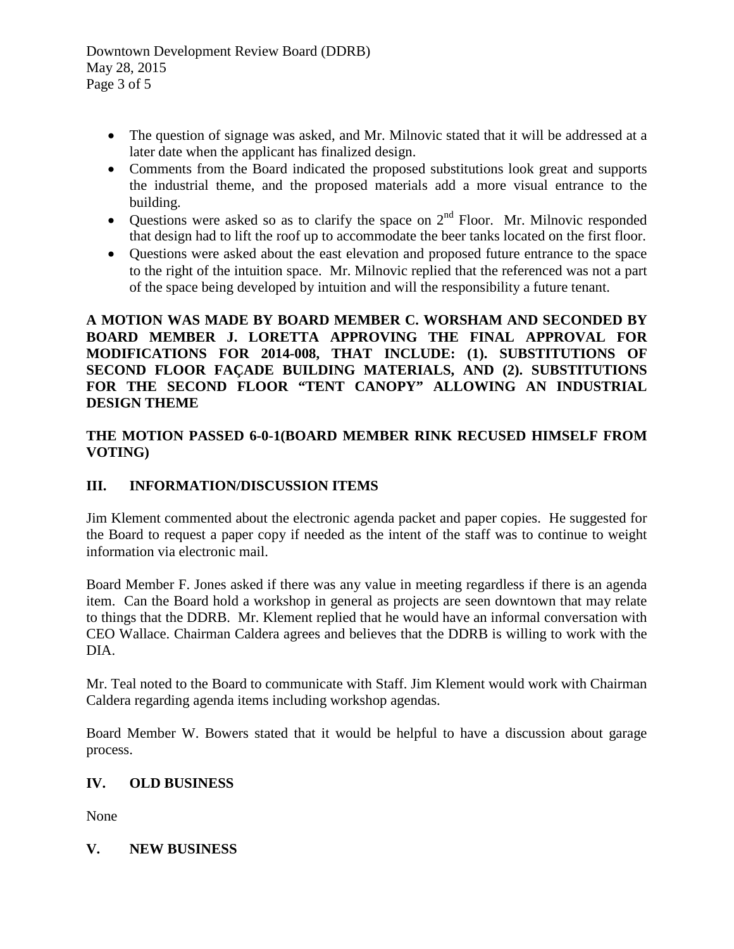Downtown Development Review Board (DDRB) May 28, 2015 Page 3 of 5

- The question of signage was asked, and Mr. Milnovic stated that it will be addressed at a later date when the applicant has finalized design.
- Comments from the Board indicated the proposed substitutions look great and supports the industrial theme, and the proposed materials add a more visual entrance to the building.
- Questions were asked so as to clarify the space on  $2<sup>nd</sup>$  Floor. Mr. Milnovic responded that design had to lift the roof up to accommodate the beer tanks located on the first floor.
- Questions were asked about the east elevation and proposed future entrance to the space to the right of the intuition space. Mr. Milnovic replied that the referenced was not a part of the space being developed by intuition and will the responsibility a future tenant.

## **A MOTION WAS MADE BY BOARD MEMBER C. WORSHAM AND SECONDED BY BOARD MEMBER J. LORETTA APPROVING THE FINAL APPROVAL FOR MODIFICATIONS FOR 2014-008, THAT INCLUDE: (1). SUBSTITUTIONS OF SECOND FLOOR FAÇADE BUILDING MATERIALS, AND (2). SUBSTITUTIONS FOR THE SECOND FLOOR "TENT CANOPY" ALLOWING AN INDUSTRIAL DESIGN THEME**

# **THE MOTION PASSED 6-0-1(BOARD MEMBER RINK RECUSED HIMSELF FROM VOTING)**

# **III. INFORMATION/DISCUSSION ITEMS**

Jim Klement commented about the electronic agenda packet and paper copies. He suggested for the Board to request a paper copy if needed as the intent of the staff was to continue to weight information via electronic mail.

Board Member F. Jones asked if there was any value in meeting regardless if there is an agenda item. Can the Board hold a workshop in general as projects are seen downtown that may relate to things that the DDRB. Mr. Klement replied that he would have an informal conversation with CEO Wallace. Chairman Caldera agrees and believes that the DDRB is willing to work with the DIA.

Mr. Teal noted to the Board to communicate with Staff. Jim Klement would work with Chairman Caldera regarding agenda items including workshop agendas.

Board Member W. Bowers stated that it would be helpful to have a discussion about garage process.

# **IV. OLD BUSINESS**

None

**V. NEW BUSINESS**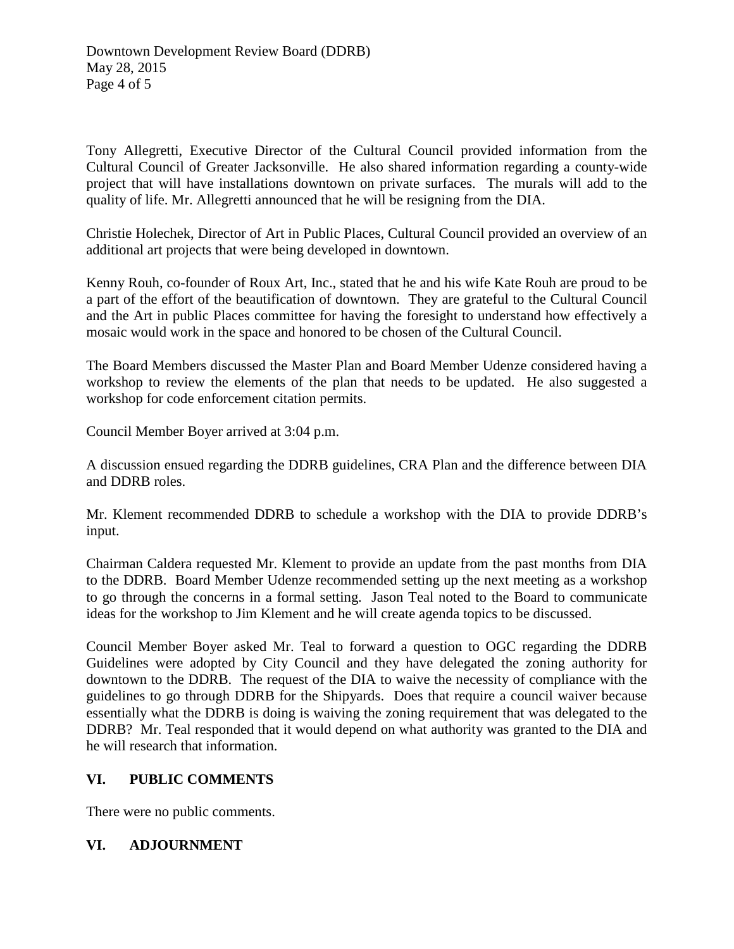Tony Allegretti, Executive Director of the Cultural Council provided information from the Cultural Council of Greater Jacksonville. He also shared information regarding a county-wide project that will have installations downtown on private surfaces. The murals will add to the quality of life. Mr. Allegretti announced that he will be resigning from the DIA.

Christie Holechek, Director of Art in Public Places, Cultural Council provided an overview of an additional art projects that were being developed in downtown.

Kenny Rouh, co-founder of Roux Art, Inc., stated that he and his wife Kate Rouh are proud to be a part of the effort of the beautification of downtown. They are grateful to the Cultural Council and the Art in public Places committee for having the foresight to understand how effectively a mosaic would work in the space and honored to be chosen of the Cultural Council.

The Board Members discussed the Master Plan and Board Member Udenze considered having a workshop to review the elements of the plan that needs to be updated. He also suggested a workshop for code enforcement citation permits.

Council Member Boyer arrived at 3:04 p.m.

A discussion ensued regarding the DDRB guidelines, CRA Plan and the difference between DIA and DDRB roles.

Mr. Klement recommended DDRB to schedule a workshop with the DIA to provide DDRB's input.

Chairman Caldera requested Mr. Klement to provide an update from the past months from DIA to the DDRB. Board Member Udenze recommended setting up the next meeting as a workshop to go through the concerns in a formal setting. Jason Teal noted to the Board to communicate ideas for the workshop to Jim Klement and he will create agenda topics to be discussed.

Council Member Boyer asked Mr. Teal to forward a question to OGC regarding the DDRB Guidelines were adopted by City Council and they have delegated the zoning authority for downtown to the DDRB. The request of the DIA to waive the necessity of compliance with the guidelines to go through DDRB for the Shipyards. Does that require a council waiver because essentially what the DDRB is doing is waiving the zoning requirement that was delegated to the DDRB? Mr. Teal responded that it would depend on what authority was granted to the DIA and he will research that information.

## **VI. PUBLIC COMMENTS**

There were no public comments.

## **VI. ADJOURNMENT**